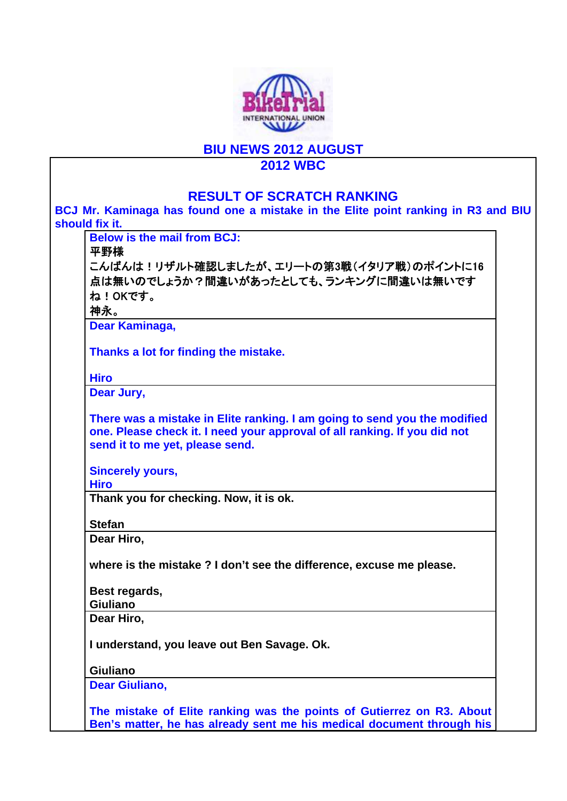

## **BIU NEWS 2012 AUGUST**

## **2012 WBC**

| <b>RESULT OF SCRATCH RANKING</b>                                                                                                                                                          |  |
|-------------------------------------------------------------------------------------------------------------------------------------------------------------------------------------------|--|
| BCJ Mr. Kaminaga has found one a mistake in the Elite point ranking in R3 and BIU                                                                                                         |  |
| should fix it.                                                                                                                                                                            |  |
| <b>Below is the mail from BCJ:</b>                                                                                                                                                        |  |
| 平野様                                                                                                                                                                                       |  |
| こんばんは!リザルト確認しましたが、エリートの第3戦(イタリア戦)のポイントに16                                                                                                                                                 |  |
| 点は無いのでしょうか?間違いがあったとしても、ランキングに間違いは無いです                                                                                                                                                     |  |
| ね!OKです。                                                                                                                                                                                   |  |
| 神永。                                                                                                                                                                                       |  |
| Dear Kaminaga,                                                                                                                                                                            |  |
| Thanks a lot for finding the mistake.                                                                                                                                                     |  |
| <b>Hiro</b>                                                                                                                                                                               |  |
| Dear Jury,                                                                                                                                                                                |  |
| There was a mistake in Elite ranking. I am going to send you the modified<br>one. Please check it. I need your approval of all ranking. If you did not<br>send it to me yet, please send. |  |
| <b>Sincerely yours,</b>                                                                                                                                                                   |  |
| <b>Hiro</b>                                                                                                                                                                               |  |
| Thank you for checking. Now, it is ok.                                                                                                                                                    |  |
| <b>Stefan</b>                                                                                                                                                                             |  |
| Dear Hiro,                                                                                                                                                                                |  |
| where is the mistake? I don't see the difference, excuse me please.                                                                                                                       |  |
| Best regards,                                                                                                                                                                             |  |
| <b>Giuliano</b>                                                                                                                                                                           |  |
| Dear Hiro,                                                                                                                                                                                |  |
| I understand, you leave out Ben Savage. Ok.                                                                                                                                               |  |
| <b>Giuliano</b>                                                                                                                                                                           |  |
| <b>Dear Giuliano,</b>                                                                                                                                                                     |  |
| The mistake of Elite ranking was the points of Gutierrez on R3. About                                                                                                                     |  |
| Ben's matter, he has already sent me his medical document through his                                                                                                                     |  |